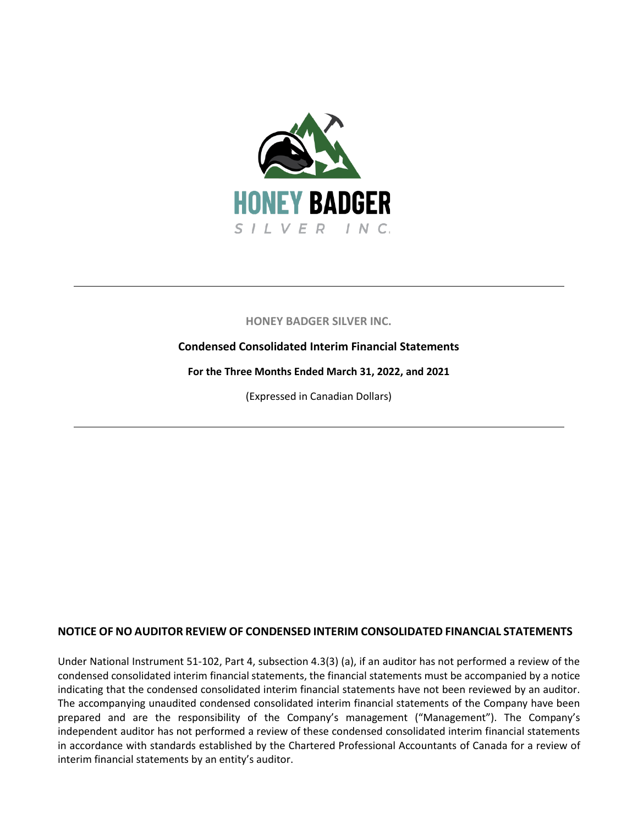

## **HONEY BADGER SILVER INC.**

### **Condensed Consolidated Interim Financial Statements**

**For the Three Months Ended March 31, 2022, and 2021**

(Expressed in Canadian Dollars)

## **NOTICE OF NO AUDITOR REVIEW OF CONDENSED INTERIM CONSOLIDATED FINANCIAL STATEMENTS**

Under National Instrument 51-102, Part 4, subsection 4.3(3) (a), if an auditor has not performed a review of the condensed consolidated interim financial statements, the financial statements must be accompanied by a notice indicating that the condensed consolidated interim financial statements have not been reviewed by an auditor. The accompanying unaudited condensed consolidated interim financial statements of the Company have been prepared and are the responsibility of the Company's management ("Management"). The Company's independent auditor has not performed a review of these condensed consolidated interim financial statements in accordance with standards established by the Chartered Professional Accountants of Canada for a review of interim financial statements by an entity's auditor.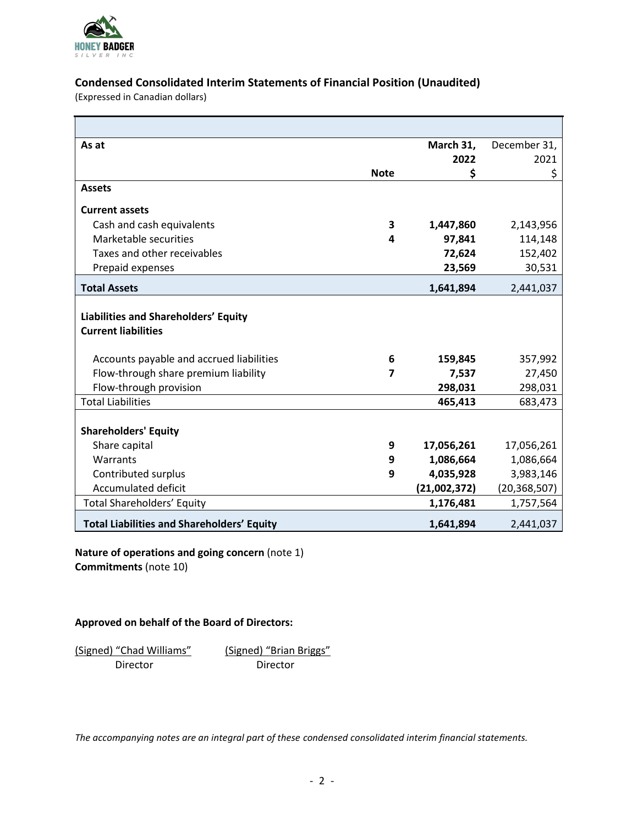

## **Condensed Consolidated Interim Statements of Financial Position (Unaudited)**

(Expressed in Canadian dollars)

| As at                                                              |             | March 31,    | December 31,   |
|--------------------------------------------------------------------|-------------|--------------|----------------|
|                                                                    |             | 2022         | 2021           |
|                                                                    | <b>Note</b> | \$           | \$             |
| <b>Assets</b>                                                      |             |              |                |
| <b>Current assets</b>                                              |             |              |                |
| Cash and cash equivalents                                          | 3           | 1,447,860    | 2,143,956      |
| Marketable securities                                              | 4           | 97,841       | 114,148        |
| Taxes and other receivables                                        |             | 72,624       | 152,402        |
| Prepaid expenses                                                   |             | 23,569       | 30,531         |
| <b>Total Assets</b>                                                |             | 1,641,894    | 2,441,037      |
| Liabilities and Shareholders' Equity<br><b>Current liabilities</b> |             |              |                |
| Accounts payable and accrued liabilities                           | 6           | 159,845      | 357,992        |
| Flow-through share premium liability                               | 7           | 7,537        | 27,450         |
| Flow-through provision                                             |             | 298,031      | 298,031        |
| <b>Total Liabilities</b>                                           |             | 465,413      | 683,473        |
| <b>Shareholders' Equity</b>                                        |             |              |                |
| Share capital                                                      | 9           | 17,056,261   | 17,056,261     |
| Warrants                                                           | 9           | 1,086,664    | 1,086,664      |
| Contributed surplus                                                | 9           | 4,035,928    | 3,983,146      |
| <b>Accumulated deficit</b>                                         |             | (21,002,372) | (20, 368, 507) |
| <b>Total Shareholders' Equity</b>                                  |             | 1,176,481    | 1,757,564      |
| <b>Total Liabilities and Shareholders' Equity</b>                  |             | 1,641,894    | 2,441,037      |

**Nature of operations and going concern** (note 1) **Commitments** (note 10)

#### **Approved on behalf of the Board of Directors:**

(Signed) "Chad Williams" (Signed) "Brian Briggs" Director Director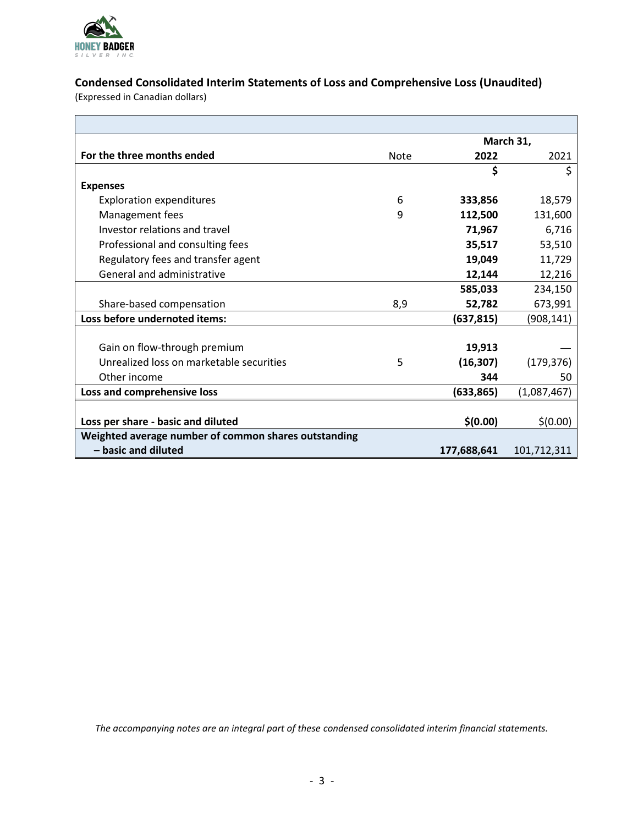

 $\blacksquare$ 

# **Condensed Consolidated Interim Statements of Loss and Comprehensive Loss (Unaudited)**

(Expressed in Canadian dollars)

|                                                      |             |             | March 31,   |
|------------------------------------------------------|-------------|-------------|-------------|
| For the three months ended                           | <b>Note</b> | 2022        | 2021        |
|                                                      |             | \$          | Ś           |
| <b>Expenses</b>                                      |             |             |             |
| <b>Exploration expenditures</b>                      | 6           | 333,856     | 18,579      |
| Management fees                                      | 9           | 112,500     | 131,600     |
| Investor relations and travel                        |             | 71,967      | 6,716       |
| Professional and consulting fees                     |             | 35,517      | 53,510      |
| Regulatory fees and transfer agent                   |             | 19,049      | 11,729      |
| General and administrative                           |             | 12,144      | 12,216      |
|                                                      |             | 585,033     | 234,150     |
| Share-based compensation                             | 8,9         | 52,782      | 673,991     |
| Loss before undernoted items:                        |             | (637, 815)  | (908, 141)  |
|                                                      |             |             |             |
| Gain on flow-through premium                         |             | 19,913      |             |
| Unrealized loss on marketable securities             | 5           | (16, 307)   | (179, 376)  |
| Other income                                         |             | 344         | 50          |
| Loss and comprehensive loss                          |             | (633, 865)  | (1,087,467) |
|                                                      |             |             |             |
| Loss per share - basic and diluted                   |             | \$(0.00)    | \$(0.00)    |
| Weighted average number of common shares outstanding |             |             |             |
| - basic and diluted                                  |             | 177,688,641 | 101,712,311 |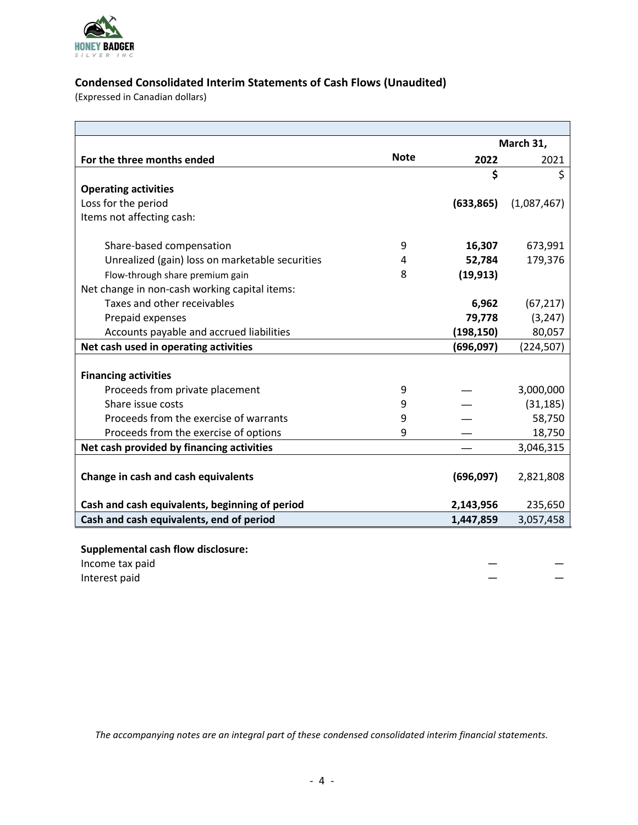

# **Condensed Consolidated Interim Statements of Cash Flows (Unaudited)**

(Expressed in Canadian dollars)

|                                                 |             |            | March 31,   |
|-------------------------------------------------|-------------|------------|-------------|
| For the three months ended                      | <b>Note</b> | 2022       | 2021        |
|                                                 |             | \$         | \$          |
| <b>Operating activities</b>                     |             |            |             |
| Loss for the period                             |             | (633, 865) | (1,087,467) |
| Items not affecting cash:                       |             |            |             |
| Share-based compensation                        | 9           | 16,307     | 673,991     |
| Unrealized (gain) loss on marketable securities | 4           | 52,784     | 179,376     |
| Flow-through share premium gain                 | 8           | (19, 913)  |             |
| Net change in non-cash working capital items:   |             |            |             |
| Taxes and other receivables                     |             | 6,962      | (67, 217)   |
| Prepaid expenses                                |             | 79,778     | (3, 247)    |
| Accounts payable and accrued liabilities        |             | (198, 150) | 80,057      |
| Net cash used in operating activities           |             | (696,097)  | (224, 507)  |
|                                                 |             |            |             |
| <b>Financing activities</b>                     |             |            |             |
| Proceeds from private placement                 | 9           |            | 3,000,000   |
| Share issue costs                               | 9           |            | (31, 185)   |
| Proceeds from the exercise of warrants          | 9           |            | 58,750      |
| Proceeds from the exercise of options           | 9           |            | 18,750      |
| Net cash provided by financing activities       |             |            | 3,046,315   |
|                                                 |             |            |             |
| Change in cash and cash equivalents             |             | (696,097)  | 2,821,808   |
| Cash and cash equivalents, beginning of period  |             | 2,143,956  | 235,650     |
| Cash and cash equivalents, end of period        |             | 1,447,859  | 3,057,458   |
| <b>Supplemental cash flow disclosure:</b>       |             |            |             |

**Supplemental cash flow disclosure:**

| Income tax paid | _  |
|-----------------|----|
| Interest paid   | __ |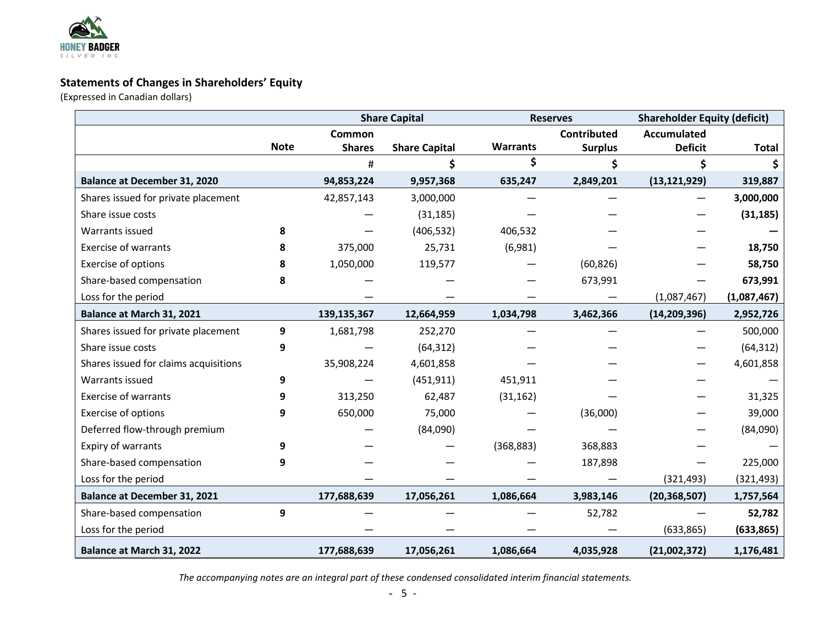

## **Statements of Changes in Shareholders' Equity**

(Expressed in Canadian dollars)

|                                       |             |               | <b>Share Capital</b> |                 | <b>Reserves</b>    | <b>Shareholder Equity (deficit)</b> |              |
|---------------------------------------|-------------|---------------|----------------------|-----------------|--------------------|-------------------------------------|--------------|
|                                       |             | Common        |                      |                 | <b>Contributed</b> | <b>Accumulated</b>                  |              |
|                                       | <b>Note</b> | <b>Shares</b> | <b>Share Capital</b> | <b>Warrants</b> | <b>Surplus</b>     | <b>Deficit</b>                      | <b>Total</b> |
|                                       |             | #             | \$                   | \$              | \$                 | \$                                  |              |
| <b>Balance at December 31, 2020</b>   |             | 94,853,224    | 9,957,368            | 635,247         | 2,849,201          | (13, 121, 929)                      | 319,887      |
| Shares issued for private placement   |             | 42,857,143    | 3,000,000            |                 |                    |                                     | 3,000,000    |
| Share issue costs                     |             |               | (31, 185)            |                 |                    |                                     | (31, 185)    |
| Warrants issued                       | 8           |               | (406, 532)           | 406,532         |                    |                                     |              |
| <b>Exercise of warrants</b>           | 8           | 375,000       | 25,731               | (6,981)         |                    |                                     | 18,750       |
| Exercise of options                   | 8           | 1,050,000     | 119,577              |                 | (60, 826)          |                                     | 58,750       |
| Share-based compensation              | 8           |               |                      |                 | 673,991            |                                     | 673,991      |
| Loss for the period                   |             |               |                      |                 |                    | (1,087,467)                         | (1,087,467)  |
| Balance at March 31, 2021             |             | 139,135,367   | 12,664,959           | 1,034,798       | 3,462,366          | (14, 209, 396)                      | 2,952,726    |
| Shares issued for private placement   | 9           | 1,681,798     | 252,270              |                 |                    |                                     | 500,000      |
| Share issue costs                     | 9           |               | (64, 312)            |                 |                    |                                     | (64, 312)    |
| Shares issued for claims acquisitions |             | 35,908,224    | 4,601,858            |                 |                    |                                     | 4,601,858    |
| Warrants issued                       | 9           |               | (451, 911)           | 451,911         |                    |                                     |              |
| <b>Exercise of warrants</b>           | 9           | 313,250       | 62,487               | (31, 162)       |                    |                                     | 31,325       |
| Exercise of options                   | 9           | 650,000       | 75,000               |                 | (36,000)           |                                     | 39,000       |
| Deferred flow-through premium         |             |               | (84,090)             |                 |                    |                                     | (84,090)     |
| Expiry of warrants                    | 9           |               |                      | (368, 883)      | 368,883            |                                     |              |
| Share-based compensation              | 9           |               |                      |                 | 187,898            |                                     | 225,000      |
| Loss for the period                   |             |               |                      |                 |                    | (321, 493)                          | (321, 493)   |
| <b>Balance at December 31, 2021</b>   |             | 177,688,639   | 17,056,261           | 1,086,664       | 3,983,146          | (20, 368, 507)                      | 1,757,564    |
| Share-based compensation              | 9           |               |                      |                 | 52,782             |                                     | 52,782       |
| Loss for the period                   |             |               |                      |                 |                    | (633, 865)                          | (633, 865)   |
| Balance at March 31, 2022             |             | 177,688,639   | 17,056,261           | 1,086,664       | 4,035,928          | (21,002,372)                        | 1,176,481    |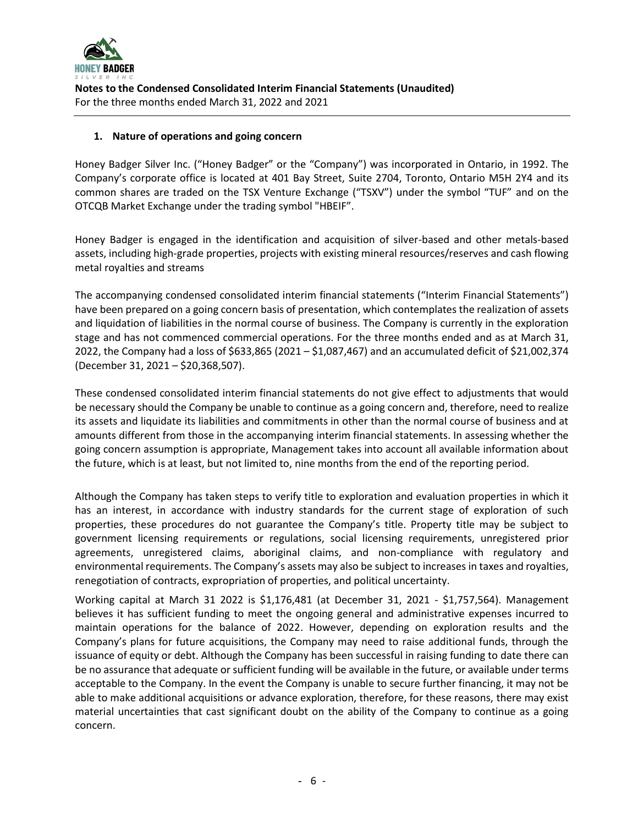

#### **1. Nature of operations and going concern**

Honey Badger Silver Inc. ("Honey Badger" or the "Company") was incorporated in Ontario, in 1992. The Company's corporate office is located at 401 Bay Street, Suite 2704, Toronto, Ontario M5H 2Y4 and its common shares are traded on the TSX Venture Exchange ("TSXV") under the symbol "TUF" and on the OTCQB Market Exchange under the trading symbol "HBEIF".

Honey Badger is engaged in the identification and acquisition of silver-based and other metals-based assets, including high-grade properties, projects with existing mineral resources/reserves and cash flowing metal royalties and streams

The accompanying condensed consolidated interim financial statements ("Interim Financial Statements") have been prepared on a going concern basis of presentation, which contemplates the realization of assets and liquidation of liabilities in the normal course of business. The Company is currently in the exploration stage and has not commenced commercial operations. For the three months ended and as at March 31, 2022, the Company had a loss of \$633,865 (2021 – \$1,087,467) and an accumulated deficit of \$21,002,374 (December 31, 2021 – \$20,368,507).

These condensed consolidated interim financial statements do not give effect to adjustments that would be necessary should the Company be unable to continue as a going concern and, therefore, need to realize its assets and liquidate its liabilities and commitments in other than the normal course of business and at amounts different from those in the accompanying interim financial statements. In assessing whether the going concern assumption is appropriate, Management takes into account all available information about the future, which is at least, but not limited to, nine months from the end of the reporting period.

Although the Company has taken steps to verify title to exploration and evaluation properties in which it has an interest, in accordance with industry standards for the current stage of exploration of such properties, these procedures do not guarantee the Company's title. Property title may be subject to government licensing requirements or regulations, social licensing requirements, unregistered prior agreements, unregistered claims, aboriginal claims, and non-compliance with regulatory and environmental requirements. The Company's assets may also be subject to increases in taxes and royalties, renegotiation of contracts, expropriation of properties, and political uncertainty.

Working capital at March 31 2022 is \$1,176,481 (at December 31, 2021 - \$1,757,564). Management believes it has sufficient funding to meet the ongoing general and administrative expenses incurred to maintain operations for the balance of 2022. However, depending on exploration results and the Company's plans for future acquisitions, the Company may need to raise additional funds, through the issuance of equity or debt. Although the Company has been successful in raising funding to date there can be no assurance that adequate or sufficient funding will be available in the future, or available under terms acceptable to the Company. In the event the Company is unable to secure further financing, it may not be able to make additional acquisitions or advance exploration, therefore, for these reasons, there may exist material uncertainties that cast significant doubt on the ability of the Company to continue as a going concern.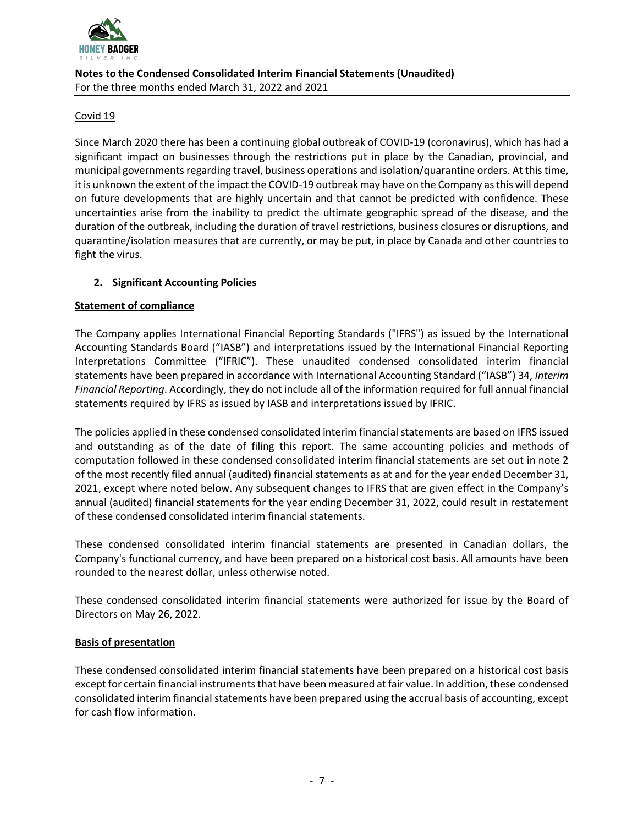

#### Covid 19

Since March 2020 there has been a continuing global outbreak of COVID-19 (coronavirus), which has had a significant impact on businesses through the restrictions put in place by the Canadian, provincial, and municipal governments regarding travel, business operations and isolation/quarantine orders. At this time, it is unknown the extent of the impact the COVID-19 outbreak may have on the Company as this will depend on future developments that are highly uncertain and that cannot be predicted with confidence. These uncertainties arise from the inability to predict the ultimate geographic spread of the disease, and the duration of the outbreak, including the duration of travel restrictions, business closures or disruptions, and quarantine/isolation measures that are currently, or may be put, in place by Canada and other countries to fight the virus.

### **2. Significant Accounting Policies**

#### **Statement of compliance**

The Company applies International Financial Reporting Standards ("IFRS") as issued by the International Accounting Standards Board ("IASB") and interpretations issued by the International Financial Reporting Interpretations Committee ("IFRIC"). These unaudited condensed consolidated interim financial statements have been prepared in accordance with International Accounting Standard ("IASB") 34, *Interim Financial Reporting*. Accordingly, they do not include all of the information required for full annual financial statements required by IFRS as issued by IASB and interpretations issued by IFRIC.

The policies applied in these condensed consolidated interim financial statements are based on IFRS issued and outstanding as of the date of filing this report. The same accounting policies and methods of computation followed in these condensed consolidated interim financial statements are set out in note 2 of the most recently filed annual (audited) financial statements as at and for the year ended December 31, 2021, except where noted below. Any subsequent changes to IFRS that are given effect in the Company's annual (audited) financial statements for the year ending December 31, 2022, could result in restatement of these condensed consolidated interim financial statements.

These condensed consolidated interim financial statements are presented in Canadian dollars, the Company's functional currency, and have been prepared on a historical cost basis. All amounts have been rounded to the nearest dollar, unless otherwise noted.

These condensed consolidated interim financial statements were authorized for issue by the Board of Directors on May 26, 2022.

#### **Basis of presentation**

These condensed consolidated interim financial statements have been prepared on a historical cost basis except for certain financial instruments that have been measured at fair value. In addition, these condensed consolidated interim financial statements have been prepared using the accrual basis of accounting, except for cash flow information.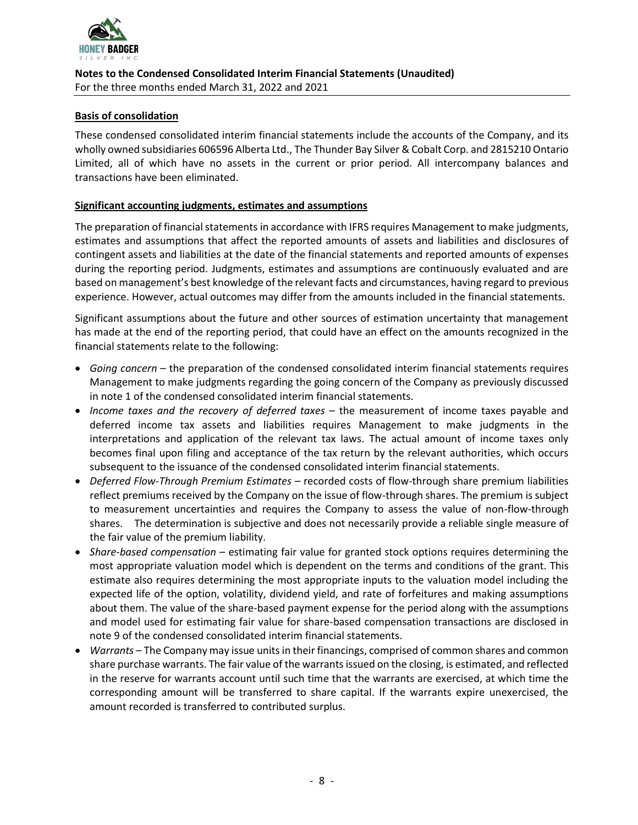

#### **Basis of consolidation**

These condensed consolidated interim financial statements include the accounts of the Company, and its wholly owned subsidiaries 606596 Alberta Ltd., The Thunder Bay Silver & Cobalt Corp. and 2815210 Ontario Limited, all of which have no assets in the current or prior period. All intercompany balances and transactions have been eliminated.

#### **Significant accounting judgments, estimates and assumptions**

The preparation of financial statements in accordance with IFRS requires Management to make judgments, estimates and assumptions that affect the reported amounts of assets and liabilities and disclosures of contingent assets and liabilities at the date of the financial statements and reported amounts of expenses during the reporting period. Judgments, estimates and assumptions are continuously evaluated and are based on management's best knowledge of the relevant facts and circumstances, having regard to previous experience. However, actual outcomes may differ from the amounts included in the financial statements.

Significant assumptions about the future and other sources of estimation uncertainty that management has made at the end of the reporting period, that could have an effect on the amounts recognized in the financial statements relate to the following:

- *Going concern* the preparation of the condensed consolidated interim financial statements requires Management to make judgments regarding the going concern of the Company as previously discussed in note 1 of the condensed consolidated interim financial statements.
- *Income taxes and the recovery of deferred taxes* the measurement of income taxes payable and deferred income tax assets and liabilities requires Management to make judgments in the interpretations and application of the relevant tax laws. The actual amount of income taxes only becomes final upon filing and acceptance of the tax return by the relevant authorities, which occurs subsequent to the issuance of the condensed consolidated interim financial statements.
- *Deferred Flow-Through Premium Estimates* recorded costs of flow-through share premium liabilities reflect premiums received by the Company on the issue of flow-through shares. The premium is subject to measurement uncertainties and requires the Company to assess the value of non-flow-through shares. The determination is subjective and does not necessarily provide a reliable single measure of the fair value of the premium liability.
- *Share-based compensation* estimating fair value for granted stock options requires determining the most appropriate valuation model which is dependent on the terms and conditions of the grant. This estimate also requires determining the most appropriate inputs to the valuation model including the expected life of the option, volatility, dividend yield, and rate of forfeitures and making assumptions about them. The value of the share-based payment expense for the period along with the assumptions and model used for estimating fair value for share-based compensation transactions are disclosed in note 9 of the condensed consolidated interim financial statements.
- *Warrants* The Company may issue units in their financings, comprised of common shares and common share purchase warrants. The fair value of the warrants issued on the closing, is estimated, and reflected in the reserve for warrants account until such time that the warrants are exercised, at which time the corresponding amount will be transferred to share capital. If the warrants expire unexercised, the amount recorded is transferred to contributed surplus.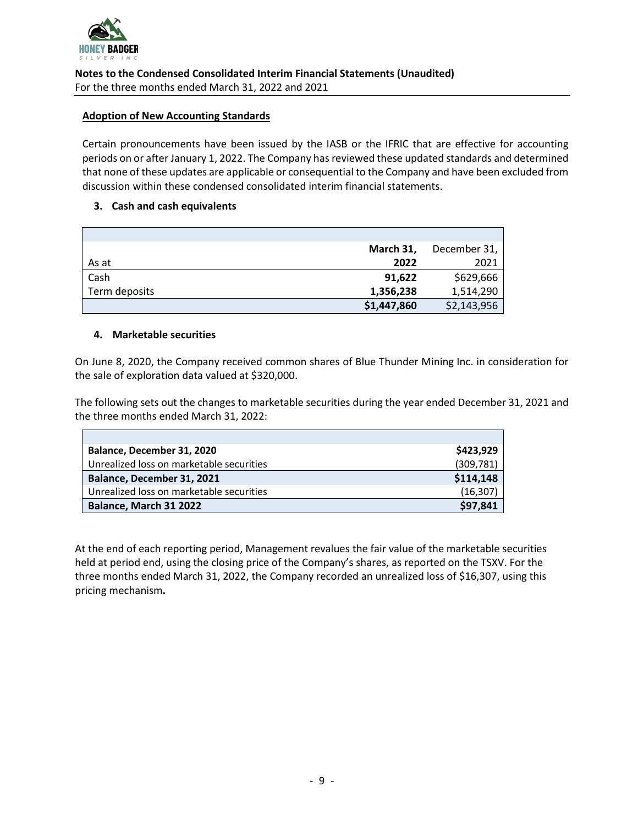

#### **Adoption of New Accounting Standards**

Certain pronouncements have been issued by the IASB or the IFRIC that are effective for accounting periods on or after January 1, 2022. The Company has reviewed these updated standards and determined that none of these updates are applicable or consequential to the Company and have been excluded from discussion within these condensed consolidated interim financial statements.

#### **3. Cash and cash equivalents**

|               | March 31,   | December 31, |
|---------------|-------------|--------------|
| As at         | 2022        | 2021         |
| Cash          | 91,622      | \$629,666    |
| Term deposits | 1,356,238   | 1,514,290    |
|               | \$1,447,860 | \$2,143,956  |

#### **4. Marketable securities**

On June 8, 2020, the Company received common shares of Blue Thunder Mining Inc. in consideration for the sale of exploration data valued at \$320,000.

The following sets out the changes to marketable securities during the year ended December 31, 2021 and the three months ended March 31, 2022:

| Balance, December 31, 2020               | \$423,929  |
|------------------------------------------|------------|
| Unrealized loss on marketable securities | (309, 781) |
| Balance, December 31, 2021               | \$114,148  |
| Unrealized loss on marketable securities | (16, 307)  |
| Balance, March 31 2022                   | \$97,841   |

At the end of each reporting period, Management revalues the fair value of the marketable securities held at period end, using the closing price of the Company's shares, as reported on the TSXV. For the three months ended March 31, 2022, the Company recorded an unrealized loss of \$16,307, using this pricing mechanism**.**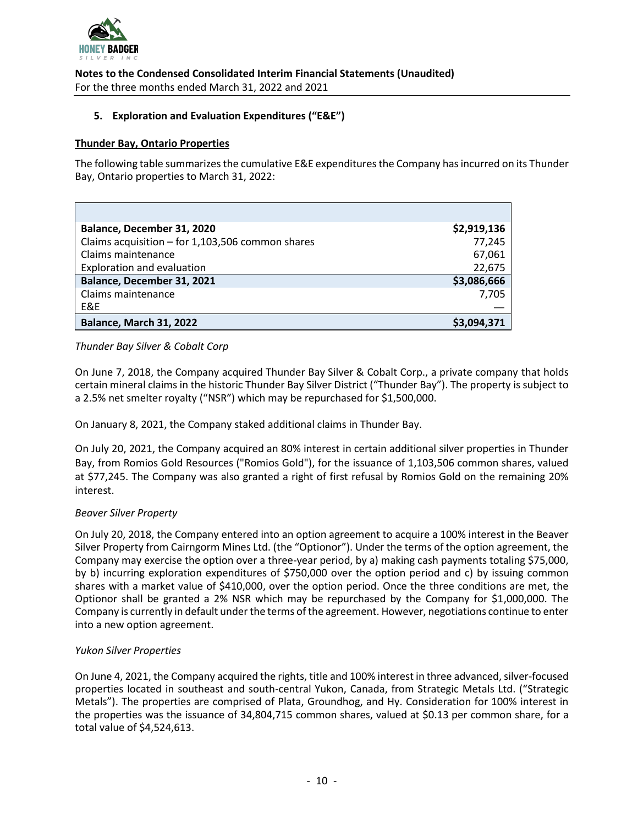

**Notes to the Condensed Consolidated Interim Financial Statements (Unaudited)**

For the three months ended March 31, 2022 and 2021

#### **5. Exploration and Evaluation Expenditures ("E&E")**

#### **Thunder Bay, Ontario Properties**

The following table summarizes the cumulative E&E expenditures the Company has incurred on its Thunder Bay, Ontario properties to March 31, 2022:

| Balance, December 31, 2020                       | \$2,919,136 |
|--------------------------------------------------|-------------|
| Claims acquisition - for 1,103,506 common shares | 77,245      |
| Claims maintenance                               | 67,061      |
| <b>Exploration and evaluation</b>                | 22,675      |
| Balance, December 31, 2021                       | \$3,086,666 |
| Claims maintenance                               | 7,705       |
| E&E                                              |             |
| Balance, March 31, 2022                          | \$3,094,371 |

#### *Thunder Bay Silver & Cobalt Corp*

On June 7, 2018, the Company acquired Thunder Bay Silver & Cobalt Corp., a private company that holds certain mineral claims in the historic Thunder Bay Silver District ("Thunder Bay"). The property is subject to a 2.5% net smelter royalty ("NSR") which may be repurchased for \$1,500,000.

On January 8, 2021, the Company staked additional claims in Thunder Bay.

On July 20, 2021, the Company acquired an 80% interest in certain additional silver properties in Thunder Bay, from Romios Gold Resources ("Romios Gold"), for the issuance of 1,103,506 common shares, valued at \$77,245. The Company was also granted a right of first refusal by Romios Gold on the remaining 20% interest.

#### *Beaver Silver Property*

On July 20, 2018, the Company entered into an option agreement to acquire a 100% interest in the Beaver Silver Property from Cairngorm Mines Ltd. (the "Optionor"). Under the terms of the option agreement, the Company may exercise the option over a three-year period, by a) making cash payments totaling \$75,000, by b) incurring exploration expenditures of \$750,000 over the option period and c) by issuing common shares with a market value of \$410,000, over the option period. Once the three conditions are met, the Optionor shall be granted a 2% NSR which may be repurchased by the Company for \$1,000,000. The Company is currently in default under the terms of the agreement. However, negotiations continue to enter into a new option agreement.

#### *Yukon Silver Properties*

On June 4, 2021, the Company acquired the rights, title and 100% interest in three advanced, silver-focused properties located in southeast and south-central Yukon, Canada, from Strategic Metals Ltd. ("Strategic Metals"). The properties are comprised of Plata, Groundhog, and Hy. Consideration for 100% interest in the properties was the issuance of 34,804,715 common shares, valued at \$0.13 per common share, for a total value of \$4,524,613.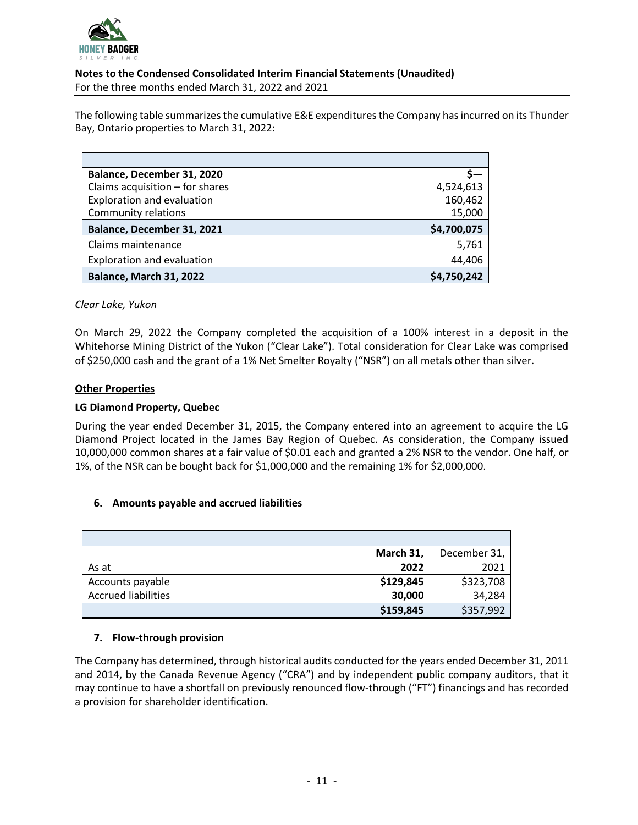

The following table summarizes the cumulative E&E expenditures the Company has incurred on its Thunder Bay, Ontario properties to March 31, 2022:

| Balance, December 31, 2020        |             |
|-----------------------------------|-------------|
| Claims acquisition - for shares   | 4,524,613   |
| Exploration and evaluation        | 160,462     |
| <b>Community relations</b>        | 15,000      |
| Balance, December 31, 2021        | \$4,700,075 |
| Claims maintenance                | 5,761       |
| <b>Exploration and evaluation</b> | 44,406      |
| <b>Balance, March 31, 2022</b>    | \$4.750.242 |

#### *Clear Lake, Yukon*

On March 29, 2022 the Company completed the acquisition of a 100% interest in a deposit in the Whitehorse Mining District of the Yukon ("Clear Lake"). Total consideration for Clear Lake was comprised of \$250,000 cash and the grant of a 1% Net Smelter Royalty ("NSR") on all metals other than silver.

#### **Other Properties**

#### **LG Diamond Property, Quebec**

During the year ended December 31, 2015, the Company entered into an agreement to acquire the LG Diamond Project located in the James Bay Region of Quebec. As consideration, the Company issued 10,000,000 common shares at a fair value of \$0.01 each and granted a 2% NSR to the vendor. One half, or 1%, of the NSR can be bought back for \$1,000,000 and the remaining 1% for \$2,000,000.

#### **6. Amounts payable and accrued liabilities**

|                            | March 31, | December 31, |
|----------------------------|-----------|--------------|
| As at                      | 2022      | 2021         |
| Accounts payable           | \$129,845 | \$323,708    |
| <b>Accrued liabilities</b> | 30,000    | 34,284       |
|                            | \$159,845 | \$357,992    |

#### **7. Flow-through provision**

The Company has determined, through historical audits conducted for the years ended December 31, 2011 and 2014, by the Canada Revenue Agency ("CRA") and by independent public company auditors, that it may continue to have a shortfall on previously renounced flow-through ("FT") financings and has recorded a provision for shareholder identification.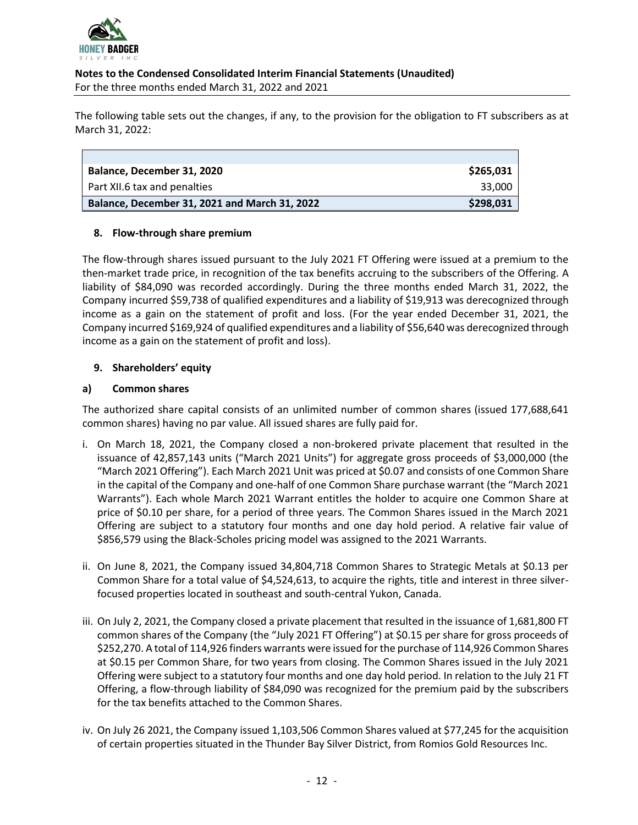

The following table sets out the changes, if any, to the provision for the obligation to FT subscribers as at March 31, 2022:

| Balance, December 31, 2020                    | \$265,031 |
|-----------------------------------------------|-----------|
| Part XII.6 tax and penalties                  | 33,000    |
| Balance, December 31, 2021 and March 31, 2022 | \$298,031 |

#### **8. Flow-through share premium**

The flow-through shares issued pursuant to the July 2021 FT Offering were issued at a premium to the then-market trade price, in recognition of the tax benefits accruing to the subscribers of the Offering. A liability of \$84,090 was recorded accordingly. During the three months ended March 31, 2022, the Company incurred \$59,738 of qualified expenditures and a liability of \$19,913 was derecognized through income as a gain on the statement of profit and loss. (For the year ended December 31, 2021, the Company incurred \$169,924 of qualified expenditures and a liability of \$56,640 was derecognized through income as a gain on the statement of profit and loss).

#### **9. Shareholders' equity**

#### **a) Common shares**

The authorized share capital consists of an unlimited number of common shares (issued 177,688,641 common shares) having no par value. All issued shares are fully paid for.

- i. On March 18, 2021, the Company closed a non-brokered private placement that resulted in the issuance of 42,857,143 units ("March 2021 Units") for aggregate gross proceeds of \$3,000,000 (the "March 2021 Offering"). Each March 2021 Unit was priced at \$0.07 and consists of one Common Share in the capital of the Company and one-half of one Common Share purchase warrant (the "March 2021 Warrants"). Each whole March 2021 Warrant entitles the holder to acquire one Common Share at price of \$0.10 per share, for a period of three years. The Common Shares issued in the March 2021 Offering are subject to a statutory four months and one day hold period. A relative fair value of \$856,579 using the Black-Scholes pricing model was assigned to the 2021 Warrants.
- ii. On June 8, 2021, the Company issued 34,804,718 Common Shares to Strategic Metals at \$0.13 per Common Share for a total value of \$4,524,613, to acquire the rights, title and interest in three silverfocused properties located in southeast and south-central Yukon, Canada.
- iii. On July 2, 2021, the Company closed a private placement that resulted in the issuance of 1,681,800 FT common shares of the Company (the "July 2021 FT Offering") at \$0.15 per share for gross proceeds of \$252,270. A total of 114,926 finders warrants were issued for the purchase of 114,926 Common Shares at \$0.15 per Common Share, for two years from closing. The Common Shares issued in the July 2021 Offering were subject to a statutory four months and one day hold period. In relation to the July 21 FT Offering, a flow-through liability of \$84,090 was recognized for the premium paid by the subscribers for the tax benefits attached to the Common Shares.
- iv. On July 26 2021, the Company issued 1,103,506 Common Shares valued at \$77,245 for the acquisition of certain properties situated in the Thunder Bay Silver District, from Romios Gold Resources Inc.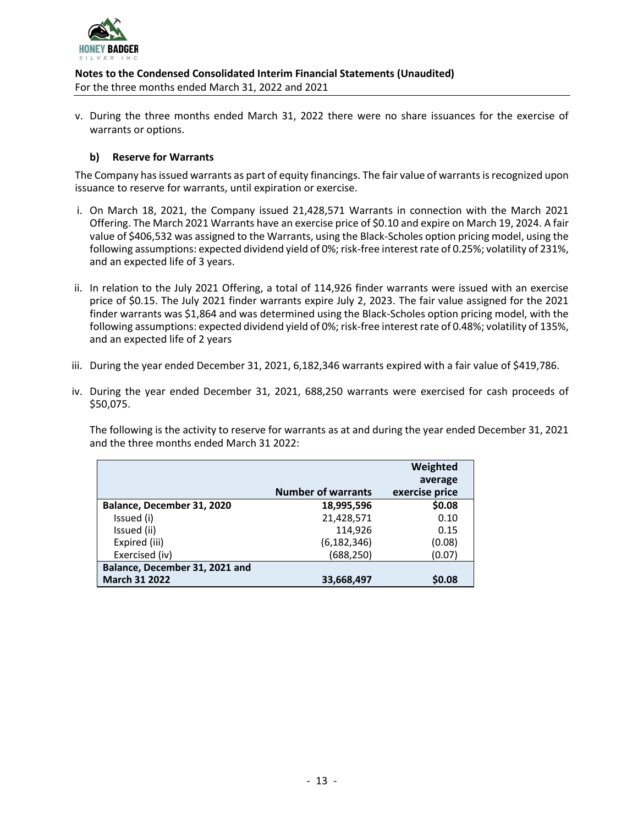

v. During the three months ended March 31, 2022 there were no share issuances for the exercise of warrants or options.

#### **b) Reserve for Warrants**

The Company has issued warrants as part of equity financings. The fair value of warrants is recognized upon issuance to reserve for warrants, until expiration or exercise.

- i. On March 18, 2021, the Company issued 21,428,571 Warrants in connection with the March 2021 Offering. The March 2021 Warrants have an exercise price of \$0.10 and expire on March 19, 2024. A fair value of \$406,532 was assigned to the Warrants, using the Black-Scholes option pricing model, using the following assumptions: expected dividend yield of 0%; risk-free interest rate of 0.25%; volatility of 231%, and an expected life of 3 years.
- ii. In relation to the July 2021 Offering, a total of 114,926 finder warrants were issued with an exercise price of \$0.15. The July 2021 finder warrants expire July 2, 2023. The fair value assigned for the 2021 finder warrants was \$1,864 and was determined using the Black-Scholes option pricing model, with the following assumptions: expected dividend yield of 0%; risk-free interest rate of 0.48%; volatility of 135%, and an expected life of 2 years
- iii. During the year ended December 31, 2021, 6,182,346 warrants expired with a fair value of \$419,786.
- iv. During the year ended December 31, 2021, 688,250 warrants were exercised for cash proceeds of \$50,075.

The following is the activity to reserve for warrants as at and during the year ended December 31, 2021 and the three months ended March 31 2022:

|                                | <b>Number of warrants</b> | Weighted<br>average |
|--------------------------------|---------------------------|---------------------|
|                                |                           | exercise price      |
| Balance, December 31, 2020     | 18,995,596                | \$0.08              |
| Issued (i)                     | 21,428,571                | 0.10                |
| Issued (ii)                    | 114,926                   | 0.15                |
| Expired (iii)                  | (6, 182, 346)             | (0.08)              |
| Exercised (iv)                 | (688, 250)                | (0.07)              |
| Balance, December 31, 2021 and |                           |                     |
| <b>March 31 2022</b>           | 33,668,497                | \$0.08              |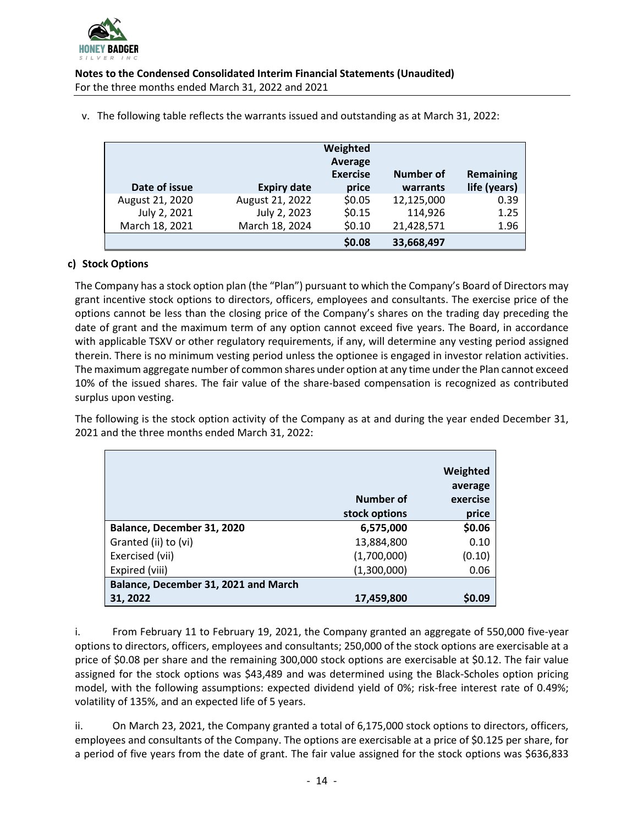

| Date of issue   | <b>Expiry date</b> | Weighted<br>Average<br><b>Exercise</b><br>price | Number of<br>warrants | <b>Remaining</b><br>life (years) |
|-----------------|--------------------|-------------------------------------------------|-----------------------|----------------------------------|
| August 21, 2020 | August 21, 2022    | \$0.05                                          | 12,125,000            | 0.39                             |
| July 2, 2021    | July 2, 2023       | \$0.15                                          | 114,926               | 1.25                             |
| March 18, 2021  | March 18, 2024     | \$0.10                                          | 21,428,571            | 1.96                             |
|                 |                    | \$0.08                                          | 33,668,497            |                                  |

v. The following table reflects the warrants issued and outstanding as at March 31, 2022:

## **c) Stock Options**

The Company has a stock option plan (the "Plan") pursuant to which the Company's Board of Directors may grant incentive stock options to directors, officers, employees and consultants. The exercise price of the options cannot be less than the closing price of the Company's shares on the trading day preceding the date of grant and the maximum term of any option cannot exceed five years. The Board, in accordance with applicable TSXV or other regulatory requirements, if any, will determine any vesting period assigned therein. There is no minimum vesting period unless the optionee is engaged in investor relation activities. The maximum aggregate number of common shares under option at any time under the Plan cannot exceed 10% of the issued shares. The fair value of the share-based compensation is recognized as contributed surplus upon vesting.

The following is the stock option activity of the Company as at and during the year ended December 31, 2021 and the three months ended March 31, 2022:

|                                      | Number of<br>stock options | Weighted<br>average<br>exercise<br>price |
|--------------------------------------|----------------------------|------------------------------------------|
| Balance, December 31, 2020           | 6,575,000                  | \$0.06                                   |
| Granted (ii) to (vi)                 | 13,884,800                 | 0.10                                     |
| Exercised (vii)                      | (1,700,000)                | (0.10)                                   |
| Expired (viii)                       | (1,300,000)                | 0.06                                     |
| Balance, December 31, 2021 and March |                            |                                          |
| 31, 2022                             | 17,459,800                 | <b>SO.09</b>                             |

i. From February 11 to February 19, 2021, the Company granted an aggregate of 550,000 five-year options to directors, officers, employees and consultants; 250,000 of the stock options are exercisable at a price of \$0.08 per share and the remaining 300,000 stock options are exercisable at \$0.12. The fair value assigned for the stock options was \$43,489 and was determined using the Black-Scholes option pricing model, with the following assumptions: expected dividend yield of 0%; risk-free interest rate of 0.49%; volatility of 135%, and an expected life of 5 years.

ii. On March 23, 2021, the Company granted a total of 6,175,000 stock options to directors, officers, employees and consultants of the Company. The options are exercisable at a price of \$0.125 per share, for a period of five years from the date of grant. The fair value assigned for the stock options was \$636,833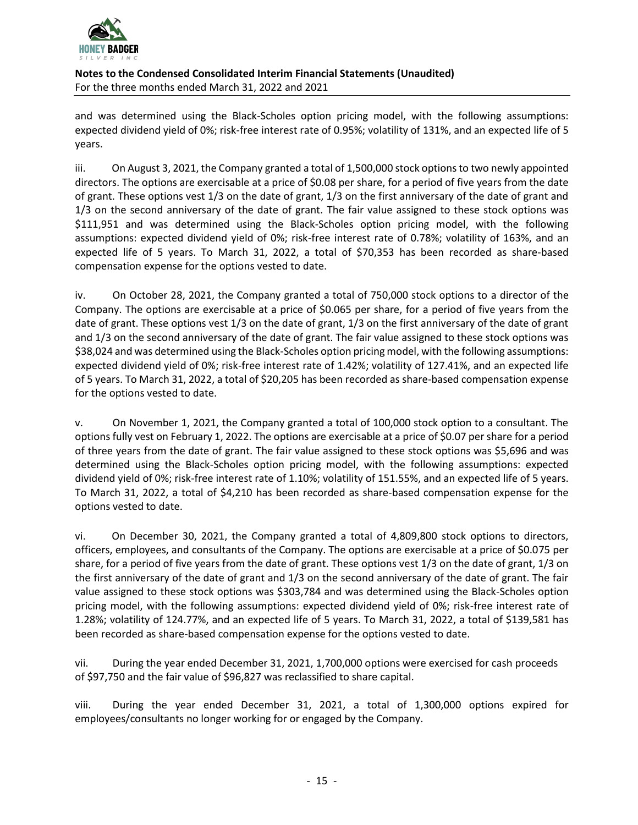

and was determined using the Black-Scholes option pricing model, with the following assumptions: expected dividend yield of 0%; risk-free interest rate of 0.95%; volatility of 131%, and an expected life of 5 years.

iii. On August 3, 2021, the Company granted a total of 1,500,000 stock options to two newly appointed directors. The options are exercisable at a price of \$0.08 per share, for a period of five years from the date of grant. These options vest 1/3 on the date of grant, 1/3 on the first anniversary of the date of grant and 1/3 on the second anniversary of the date of grant. The fair value assigned to these stock options was \$111,951 and was determined using the Black-Scholes option pricing model, with the following assumptions: expected dividend yield of 0%; risk-free interest rate of 0.78%; volatility of 163%, and an expected life of 5 years. To March 31, 2022, a total of \$70,353 has been recorded as share-based compensation expense for the options vested to date.

iv. On October 28, 2021, the Company granted a total of 750,000 stock options to a director of the Company. The options are exercisable at a price of \$0.065 per share, for a period of five years from the date of grant. These options vest 1/3 on the date of grant, 1/3 on the first anniversary of the date of grant and 1/3 on the second anniversary of the date of grant. The fair value assigned to these stock options was \$38,024 and was determined using the Black-Scholes option pricing model, with the following assumptions: expected dividend yield of 0%; risk-free interest rate of 1.42%; volatility of 127.41%, and an expected life of 5 years. To March 31, 2022, a total of \$20,205 has been recorded as share-based compensation expense for the options vested to date.

v. On November 1, 2021, the Company granted a total of 100,000 stock option to a consultant. The options fully vest on February 1, 2022. The options are exercisable at a price of \$0.07 per share for a period of three years from the date of grant. The fair value assigned to these stock options was \$5,696 and was determined using the Black-Scholes option pricing model, with the following assumptions: expected dividend yield of 0%; risk-free interest rate of 1.10%; volatility of 151.55%, and an expected life of 5 years. To March 31, 2022, a total of \$4,210 has been recorded as share-based compensation expense for the options vested to date.

vi. On December 30, 2021, the Company granted a total of 4,809,800 stock options to directors, officers, employees, and consultants of the Company. The options are exercisable at a price of \$0.075 per share, for a period of five years from the date of grant. These options vest 1/3 on the date of grant, 1/3 on the first anniversary of the date of grant and 1/3 on the second anniversary of the date of grant. The fair value assigned to these stock options was \$303,784 and was determined using the Black-Scholes option pricing model, with the following assumptions: expected dividend yield of 0%; risk-free interest rate of 1.28%; volatility of 124.77%, and an expected life of 5 years. To March 31, 2022, a total of \$139,581 has been recorded as share-based compensation expense for the options vested to date.

vii. During the year ended December 31, 2021, 1,700,000 options were exercised for cash proceeds of \$97,750 and the fair value of \$96,827 was reclassified to share capital.

viii. During the year ended December 31, 2021, a total of 1,300,000 options expired for employees/consultants no longer working for or engaged by the Company.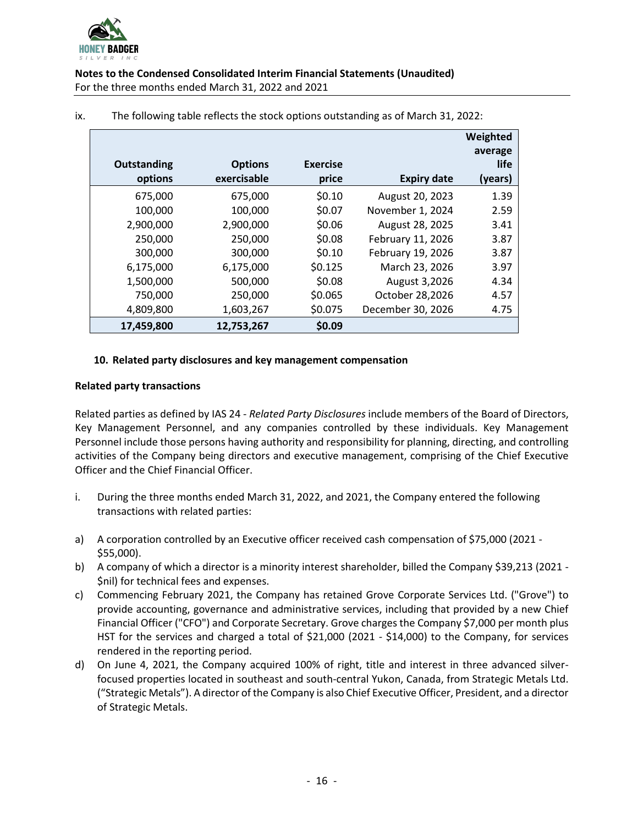

| <b>Outstanding</b><br>options | <b>Options</b><br>exercisable | <b>Exercise</b><br>price | <b>Expiry date</b> | Weighted<br>average<br>life<br>(years) |
|-------------------------------|-------------------------------|--------------------------|--------------------|----------------------------------------|
| 675,000                       | 675,000                       | \$0.10                   | August 20, 2023    | 1.39                                   |
| 100,000                       | 100,000                       | \$0.07                   | November 1, 2024   | 2.59                                   |
| 2,900,000                     | 2,900,000                     | \$0.06                   | August 28, 2025    | 3.41                                   |
| 250,000                       | 250,000                       | \$0.08                   | February 11, 2026  | 3.87                                   |
| 300,000                       | 300,000                       | \$0.10                   | February 19, 2026  | 3.87                                   |
| 6,175,000                     | 6,175,000                     | \$0.125                  | March 23, 2026     | 3.97                                   |
| 1,500,000                     | 500,000                       | \$0.08                   | August 3,2026      | 4.34                                   |
| 750,000                       | 250,000                       | \$0.065                  | October 28,2026    | 4.57                                   |
| 4,809,800                     | 1,603,267                     | \$0.075                  | December 30, 2026  | 4.75                                   |
| 17,459,800                    | 12,753,267                    | \$0.09                   |                    |                                        |

#### ix. The following table reflects the stock options outstanding as of March 31, 2022:

#### **10. Related party disclosures and key management compensation**

#### **Related party transactions**

Related parties as defined by IAS 24 - *Related Party Disclosures* include members of the Board of Directors, Key Management Personnel, and any companies controlled by these individuals. Key Management Personnel include those persons having authority and responsibility for planning, directing, and controlling activities of the Company being directors and executive management, comprising of the Chief Executive Officer and the Chief Financial Officer.

- i. During the three months ended March 31, 2022, and 2021, the Company entered the following transactions with related parties:
- a) A corporation controlled by an Executive officer received cash compensation of \$75,000 (2021 -\$55,000).
- b) A company of which a director is a minority interest shareholder, billed the Company \$39,213 (2021 -\$nil) for technical fees and expenses.
- c) Commencing February 2021, the Company has retained Grove Corporate Services Ltd. ("Grove") to provide accounting, governance and administrative services, including that provided by a new Chief Financial Officer ("CFO") and Corporate Secretary. Grove charges the Company \$7,000 per month plus HST for the services and charged a total of \$21,000 (2021 - \$14,000) to the Company, for services rendered in the reporting period.
- d) On June 4, 2021, the Company acquired 100% of right, title and interest in three advanced silverfocused properties located in southeast and south-central Yukon, Canada, from Strategic Metals Ltd. ("Strategic Metals"). A director of the Company is also Chief Executive Officer, President, and a director of Strategic Metals.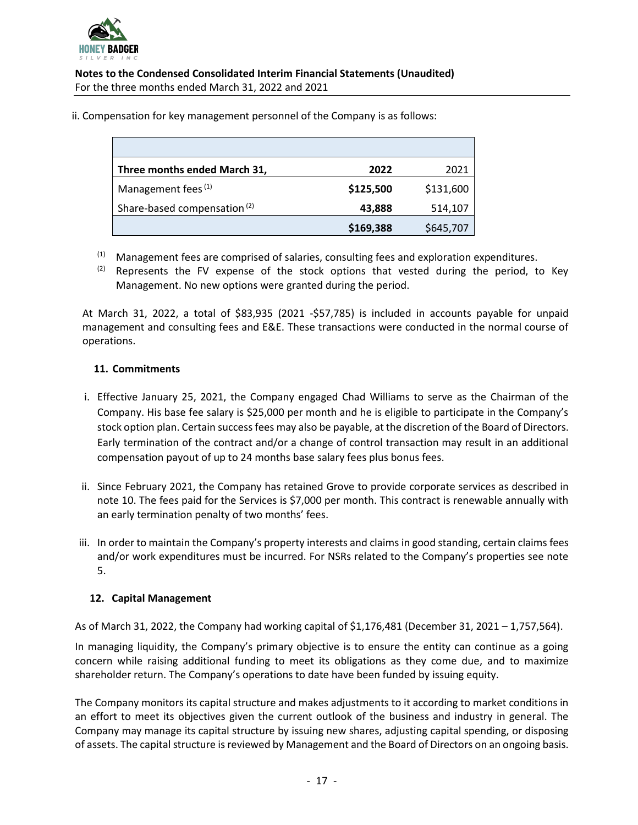

ii. Compensation for key management personnel of the Company is as follows:

| Three months ended March 31,            | 2022      | 2021      |
|-----------------------------------------|-----------|-----------|
| Management fees <sup>(1)</sup>          | \$125,500 | \$131,600 |
| Share-based compensation <sup>(2)</sup> | 43,888    | 514,107   |
|                                         | \$169,388 | \$645,707 |

- $(1)$  Management fees are comprised of salaries, consulting fees and exploration expenditures.
- $(2)$  Represents the FV expense of the stock options that vested during the period, to Key Management. No new options were granted during the period.

At March 31, 2022, a total of \$83,935 (2021 -\$57,785) is included in accounts payable for unpaid management and consulting fees and E&E. These transactions were conducted in the normal course of operations.

### **11. Commitments**

- i. Effective January 25, 2021, the Company engaged Chad Williams to serve as the Chairman of the Company. His base fee salary is \$25,000 per month and he is eligible to participate in the Company's stock option plan. Certain success fees may also be payable, at the discretion of the Board of Directors. Early termination of the contract and/or a change of control transaction may result in an additional compensation payout of up to 24 months base salary fees plus bonus fees.
- ii. Since February 2021, the Company has retained Grove to provide corporate services as described in note 10. The fees paid for the Services is \$7,000 per month. This contract is renewable annually with an early termination penalty of two months' fees.
- iii. In order to maintain the Company's property interests and claims in good standing, certain claims fees and/or work expenditures must be incurred. For NSRs related to the Company's properties see note 5.

#### **12. Capital Management**

As of March 31, 2022, the Company had working capital of \$1,176,481 (December 31, 2021 – 1,757,564).

In managing liquidity, the Company's primary objective is to ensure the entity can continue as a going concern while raising additional funding to meet its obligations as they come due, and to maximize shareholder return. The Company's operations to date have been funded by issuing equity.

The Company monitors its capital structure and makes adjustments to it according to market conditions in an effort to meet its objectives given the current outlook of the business and industry in general. The Company may manage its capital structure by issuing new shares, adjusting capital spending, or disposing of assets. The capital structure is reviewed by Management and the Board of Directors on an ongoing basis.